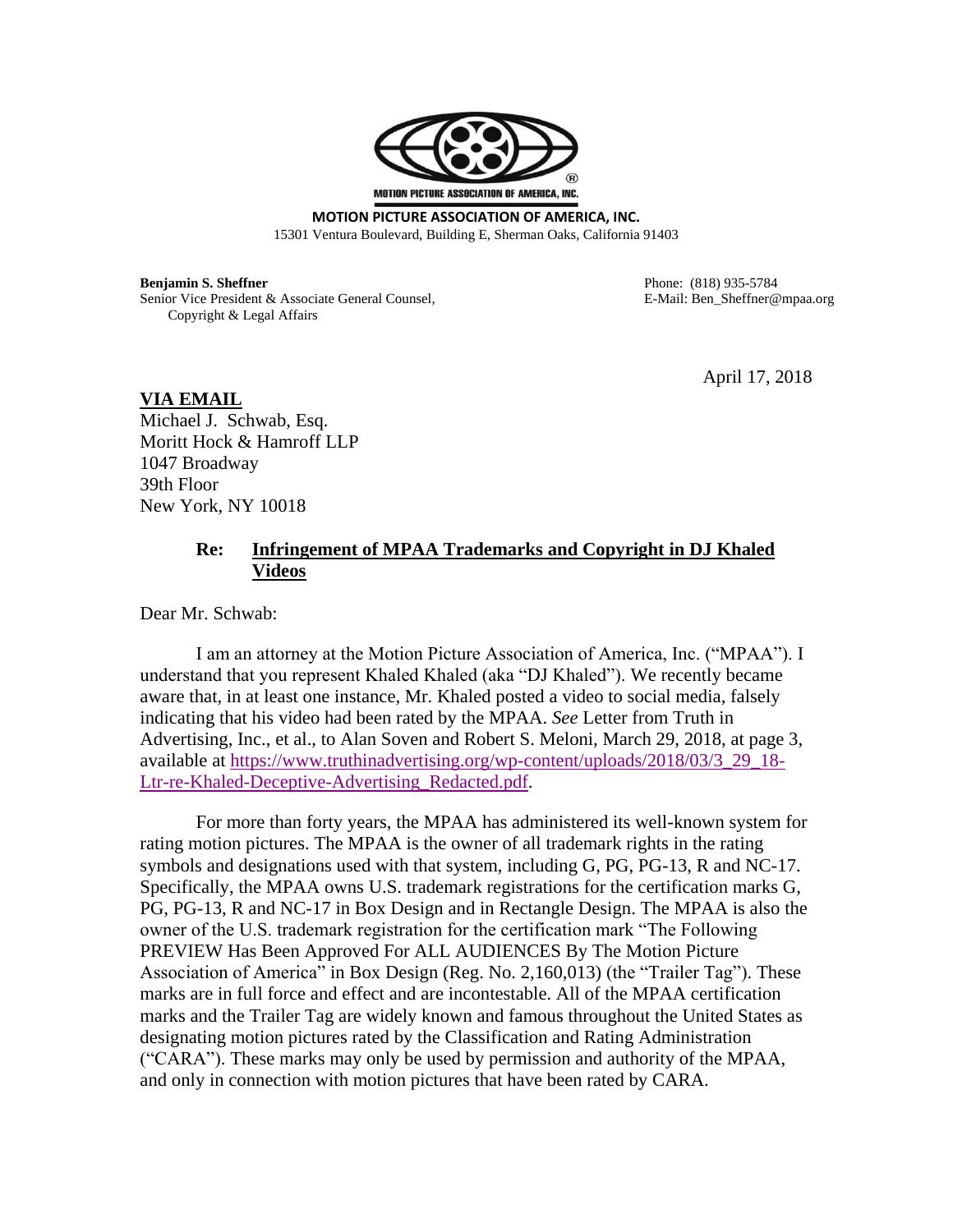

**MOTION PICTURE ASSOCIATION OF AMERICA, INC.** 15301 Ventura Boulevard, Building E, Sherman Oaks, California 91403

**Benjamin S. Sheffner** Phone: (818) 935-5784 Senior Vice President & Associate General Counsel, The Sheffler Counsel E-Mail: Ben\_Sheffner@mpaa.org Copyright & Legal Affairs

April 17, 2018

**VIA EMAIL** Michael J. Schwab, Esq. Moritt Hock & Hamroff LLP 1047 Broadway 39th Floor New York, NY 10018

## **Re: Infringement of MPAA Trademarks and Copyright in DJ Khaled Videos**

Dear Mr. Schwab:

I am an attorney at the Motion Picture Association of America, Inc. ("MPAA"). I understand that you represent Khaled Khaled (aka "DJ Khaled"). We recently became aware that, in at least one instance, Mr. Khaled posted a video to social media, falsely indicating that his video had been rated by the MPAA. *See* Letter from Truth in Advertising, Inc., et al., to Alan Soven and Robert S. Meloni, March 29, 2018, at page 3, available at [https://www.truthinadvertising.org/wp-content/uploads/2018/03/3\\_29\\_18-](https://www.truthinadvertising.org/wp-content/uploads/2018/03/3_29_18-Ltr-re-Khaled-Deceptive-Advertising_Redacted.pdf) [Ltr-re-Khaled-Deceptive-Advertising\\_Redacted.pdf.](https://www.truthinadvertising.org/wp-content/uploads/2018/03/3_29_18-Ltr-re-Khaled-Deceptive-Advertising_Redacted.pdf)

For more than forty years, the MPAA has administered its well-known system for rating motion pictures. The MPAA is the owner of all trademark rights in the rating symbols and designations used with that system, including G, PG, PG-13, R and NC-17. Specifically, the MPAA owns U.S. trademark registrations for the certification marks G, PG, PG-13, R and NC-17 in Box Design and in Rectangle Design. The MPAA is also the owner of the U.S. trademark registration for the certification mark "The Following PREVIEW Has Been Approved For ALL AUDIENCES By The Motion Picture Association of America" in Box Design (Reg. No. 2,160,013) (the "Trailer Tag"). These marks are in full force and effect and are incontestable. All of the MPAA certification marks and the Trailer Tag are widely known and famous throughout the United States as designating motion pictures rated by the Classification and Rating Administration ("CARA"). These marks may only be used by permission and authority of the MPAA, and only in connection with motion pictures that have been rated by CARA.